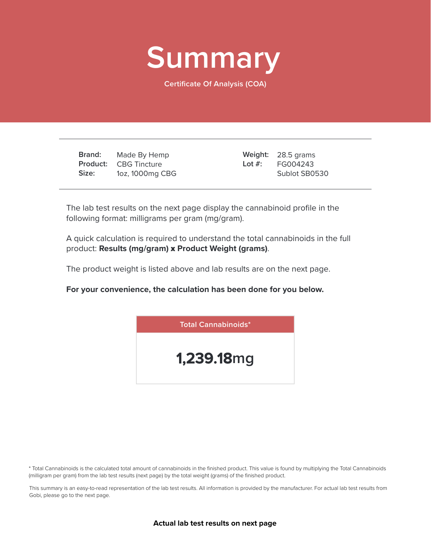

**Certificate Of Analysis (COA)**

**Brand: Product:** CBG Tincture **Size:** Made By Hemp 1oz, 1000mg CBG

28.5 grams **Weight:** FG004243 Sublot SB0530 **Lot #:**

The lab test results on the next page display the cannabinoid profile in the following format: milligrams per gram (mg/gram).

A quick calculation is required to understand the total cannabinoids in the full product: **Results (mg/gram)** x **Product Weight (grams)**.

The product weight is listed above and lab results are on the next page.

**For your convenience, the calculation has been done for you below.**



\* Total Cannabinoids is the calculated total amount of cannabinoids in the finished product. This value is found by multiplying the Total Cannabinoids (milligram per gram) from the lab test results (next page) by the total weight (grams) of the finished product.

This summary is an easy-to-read representation of the lab test results. All information is provided by the manufacturer. For actual lab test results from Gobi, please go to the next page.